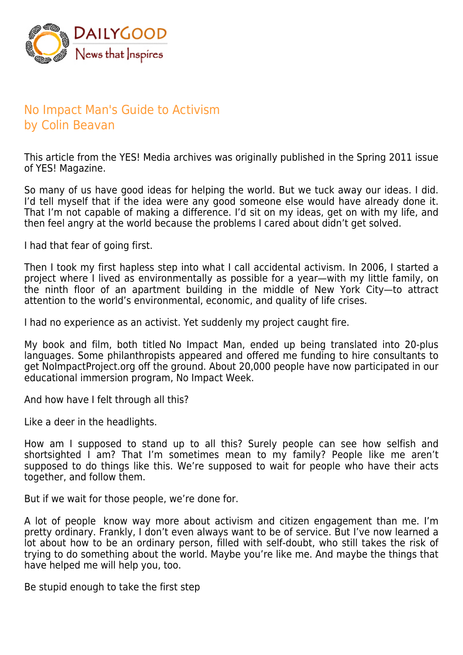

## No Impact Man's Guide to Activism by Colin Beavan

This article from the YES! Media archives was originally published in the Spring 2011 issue of YES! Magazine.

So many of us have good ideas for helping the world. But we tuck away our ideas. I did. I'd tell myself that if the idea were any good someone else would have already done it. That I'm not capable of making a difference. I'd sit on my ideas, get on with my life, and then feel angry at the world because the problems I cared about didn't get solved.

I had that fear of going first.

Then I took my first hapless step into what I call accidental activism. In 2006, I started a project where I lived as environmentally as possible for a year-with my little family, on the ninth floor of an apartment building in the middle of New York City—to attract attention to the world's environmental, economic, and quality of life crises.

I had no experience as an activist. Yet suddenly my project caught fire.

My book and film, both titled No Impact Man, ended up being translated into 20-plus languages. Some philanthropists appeared and offered me funding to hire consultants to get NoImpactProject.org off the ground. About 20,000 people have now participated in our educational immersion program, No Impact Week.

And how have I felt through all this?

Like a deer in the headlights.

How am I supposed to stand up to all this? Surely people can see how selfish and shortsighted I am? That I'm sometimes mean to my family? People like me aren't supposed to do things like this. We're supposed to wait for people who have their acts together, and follow them.

But if we wait for those people, we're done for.

A lot of people know way more about activism and citizen engagement than me. I'm pretty ordinary. Frankly, I don't even always want to be of service. But I've now learned a lot about how to be an ordinary person, filled with self-doubt, who still takes the risk of trying to do something about the world. Maybe you're like me. And maybe the things that have helped me will help you, too.

Be stupid enough to take the first step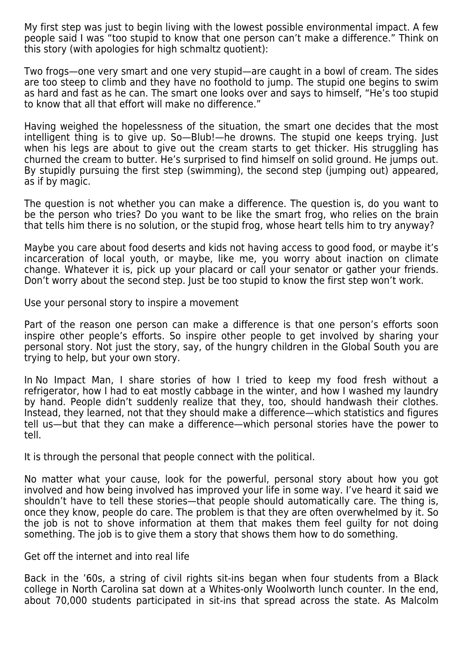My first step was just to begin living with the lowest possible environmental impact. A few people said I was "too stupid to know that one person can't make a difference." Think on this story (with apologies for high schmaltz quotient):

Two frogs—one very smart and one very stupid—are caught in a bowl of cream. The sides are too steep to climb and they have no foothold to jump. The stupid one begins to swim as hard and fast as he can. The smart one looks over and says to himself, "He's too stupid to know that all that effort will make no difference."

Having weighed the hopelessness of the situation, the smart one decides that the most intelligent thing is to give up. So—Blub!—he drowns. The stupid one keeps trying. Just when his legs are about to give out the cream starts to get thicker. His struggling has churned the cream to butter. He's surprised to find himself on solid ground. He jumps out. By stupidly pursuing the first step (swimming), the second step (jumping out) appeared, as if by magic.

The question is not whether you can make a difference. The question is, do you want to be the person who tries? Do you want to be like the smart frog, who relies on the brain that tells him there is no solution, or the stupid frog, whose heart tells him to try anyway?

Maybe you care about food deserts and kids not having access to good food, or maybe it's incarceration of local youth, or maybe, like me, you worry about inaction on climate change. Whatever it is, pick up your placard or call your senator or gather your friends. Don't worry about the second step. Just be too stupid to know the first step won't work.

Use your personal story to inspire a movement

Part of the reason one person can make a difference is that one person's efforts soon inspire other people's efforts. So inspire other people to get involved by sharing your personal story. Not just the story, say, of the hungry children in the Global South you are trying to help, but your own story.

In No Impact Man, I share stories of how I tried to keep my food fresh without a refrigerator, how I had to eat mostly cabbage in the winter, and how I washed my laundry by hand. People didn't suddenly realize that they, too, should handwash their clothes. Instead, they learned, not that they should make a difference—which statistics and figures tell us—but that they can make a difference—which personal stories have the power to tell.

It is through the personal that people connect with the political.

No matter what your cause, look for the powerful, personal story about how you got involved and how being involved has improved your life in some way. I've heard it said we shouldn't have to tell these stories—that people should automatically care. The thing is, once they know, people do care. The problem is that they are often overwhelmed by it. So the job is not to shove information at them that makes them feel guilty for not doing something. The job is to give them a story that shows them how to do something.

Get off the internet and into real life

Back in the '60s, a string of civil rights sit-ins began when four students from a Black college in North Carolina sat down at a Whites-only Woolworth lunch counter. In the end, about 70,000 students participated in sit-ins that spread across the state. As Malcolm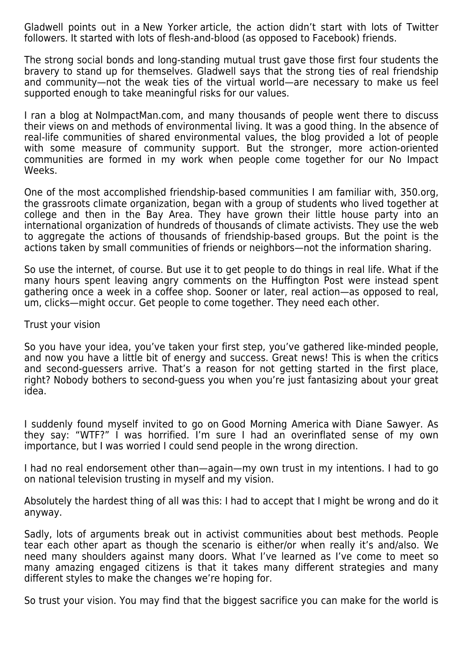Gladwell points out in a New Yorker article, the action didn't start with lots of Twitter followers. It started with lots of flesh-and-blood (as opposed to Facebook) friends.

The strong social bonds and long-standing mutual trust gave those first four students the bravery to stand up for themselves. Gladwell says that the strong ties of real friendship and community—not the weak ties of the virtual world—are necessary to make us feel supported enough to take meaningful risks for our values.

I ran a blog at NoImpactMan.com, and many thousands of people went there to discuss their views on and methods of environmental living. It was a good thing. In the absence of real-life communities of shared environmental values, the blog provided a lot of people with some measure of community support. But the stronger, more action-oriented communities are formed in my work when people come together for our No Impact Weeks.

One of the most accomplished friendship-based communities I am familiar with, 350.org, the grassroots climate organization, began with a group of students who lived together at college and then in the Bay Area. They have grown their little house party into an international organization of hundreds of thousands of climate activists. They use the web to aggregate the actions of thousands of friendship-based groups. But the point is the actions taken by small communities of friends or neighbors—not the information sharing.

So use the internet, of course. But use it to get people to do things in real life. What if the many hours spent leaving angry comments on the Huffington Post were instead spent gathering once a week in a coffee shop. Sooner or later, real action—as opposed to real, um, clicks—might occur. Get people to come together. They need each other.

## Trust your vision

So you have your idea, you've taken your first step, you've gathered like-minded people, and now you have a little bit of energy and success. Great news! This is when the critics and second-guessers arrive. That's a reason for not getting started in the first place, right? Nobody bothers to second-guess you when you're just fantasizing about your great idea.

I suddenly found myself invited to go on Good Morning America with Diane Sawyer. As they say: "WTF?" I was horrified. I'm sure I had an overinflated sense of my own importance, but I was worried I could send people in the wrong direction.

I had no real endorsement other than—again—my own trust in my intentions. I had to go on national television trusting in myself and my vision.

Absolutely the hardest thing of all was this: I had to accept that I might be wrong and do it anyway.

Sadly, lots of arguments break out in activist communities about best methods. People tear each other apart as though the scenario is either/or when really it's and/also. We need many shoulders against many doors. What I've learned as I've come to meet so many amazing engaged citizens is that it takes many different strategies and many different styles to make the changes we're hoping for.

So trust your vision. You may find that the biggest sacrifice you can make for the world is